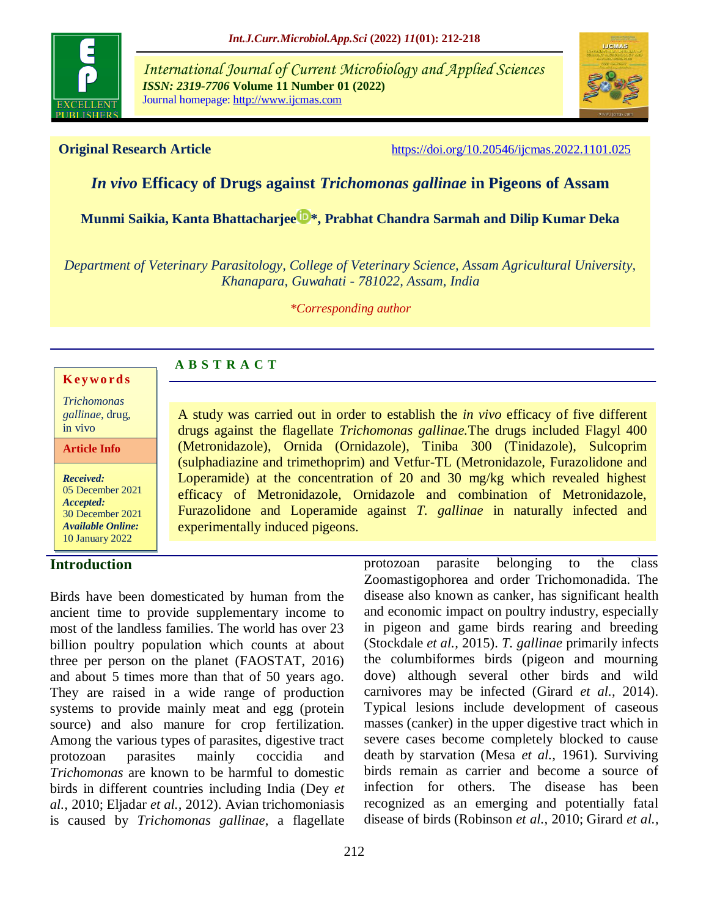

*International Journal of Current Microbiology and Applied Sciences ISSN: 2319-7706* **Volume 11 Number 01 (2022)**  Journal homepage: http://www.ijcmas.com



**Original Research Article** <https://doi.org/10.20546/ijcmas.2022.1101.025>

# *In vivo* **Efficacy of Drugs against** *Trichomonas gallinae* **in Pigeons of Assam**

**Munmi Saikia, [Kanta Bhattacharjee](https://orcid.org/0000-0003-3840-0846) [\\*](https://orcid.org/0000-0003-3840-0846), Prabhat Chandra Sarmah and Dilip Kumar Deka**

*Department of Veterinary Parasitology, College of Veterinary Science, Assam Agricultural University, Khanapara, Guwahati - 781022, Assam, India*

*\*Corresponding author*

#### **K ey w o rd s**

*Trichomonas gallinae*, drug, in vivo

**Article Info**

*Received:*  05 December 2021 *Accepted:*  30 December 2021 *Available Online:* 10 January 2022

## **Introduction**

Birds have been domesticated by human from the ancient time to provide supplementary income to most of the landless families. The world has over 23 billion poultry population which counts at about three per person on the planet (FAOSTAT, 2016) and about 5 times more than that of 50 years ago. They are raised in a wide range of production systems to provide mainly meat and egg (protein source) and also manure for crop fertilization. Among the various types of parasites, digestive tract protozoan parasites mainly coccidia and *Trichomonas* are known to be harmful to domestic birds in different countries including India (Dey *et al.,* 2010; Eljadar *et al.,* 2012). Avian trichomoniasis is caused by *Trichomonas gallinae*, a flagellate

**A B S T R A C T**

A study was carried out in order to establish the *in vivo* efficacy of five different drugs against the flagellate *Trichomonas gallinae.*The drugs included Flagyl 400 (Metronidazole), Ornida (Ornidazole), Tiniba 300 (Tinidazole), Sulcoprim (sulphadiazine and trimethoprim) and Vetfur-TL (Metronidazole, Furazolidone and Loperamide) at the concentration of 20 and 30 mg/kg which revealed highest efficacy of Metronidazole, Ornidazole and combination of Metronidazole, Furazolidone and Loperamide against *T. gallinae* in naturally infected and experimentally induced pigeons.

> protozoan parasite belonging to the class Zoomastigophorea and order Trichomonadida. The disease also known as canker, has significant health and economic impact on poultry industry, especially in pigeon and game birds rearing and breeding (Stockdale *et al.,* 2015). *T. gallinae* primarily infects the columbiformes birds (pigeon and mourning dove) although several other birds and wild carnivores may be infected (Girard *et al.,* 2014). Typical lesions include development of caseous masses (canker) in the upper digestive tract which in severe cases become completely blocked to cause death by starvation (Mesa *et al.,* 1961). Surviving birds remain as carrier and become a source of infection for others. The disease has been recognized as an emerging and potentially fatal disease of birds (Robinson *et al.,* 2010; Girard *et al.,*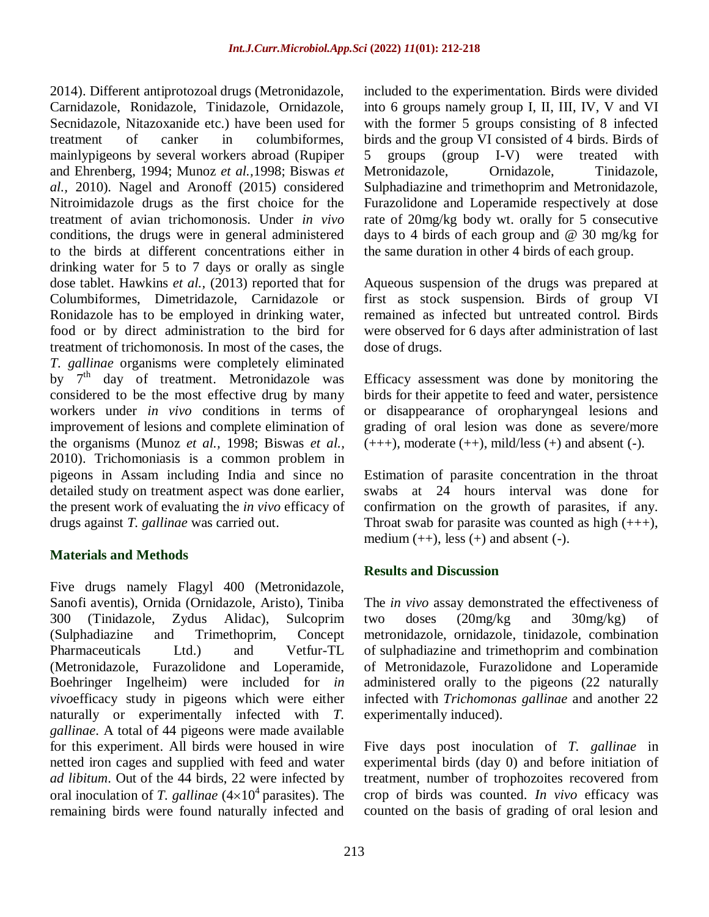2014). Different antiprotozoal drugs (Metronidazole, Carnidazole, Ronidazole, Tinidazole, Ornidazole, Secnidazole, Nitazoxanide etc.) have been used for treatment of canker in columbiformes, mainlypigeons by several workers abroad (Rupiper and Ehrenberg, 1994; Munoz *et al.,*1998; Biswas *et al.,* 2010). Nagel and Aronoff (2015) considered Nitroimidazole drugs as the first choice for the treatment of avian trichomonosis. Under *in vivo* conditions, the drugs were in general administered to the birds at different concentrations either in drinking water for 5 to 7 days or orally as single dose tablet. Hawkins *et al.,* (2013) reported that for Columbiformes, Dimetridazole, Carnidazole or Ronidazole has to be employed in drinking water, food or by direct administration to the bird for treatment of trichomonosis. In most of the cases, the *T. gallinae* organisms were completely eliminated by 7<sup>th</sup> day of treatment. Metronidazole was considered to be the most effective drug by many workers under *in vivo* conditions in terms of improvement of lesions and complete elimination of the organisms (Munoz *et al.,* 1998; Biswas *et al.,* 2010). Trichomoniasis is a common problem in pigeons in Assam including India and since no detailed study on treatment aspect was done earlier, the present work of evaluating the *in vivo* efficacy of drugs against *T. gallinae* was carried out.

## **Materials and Methods**

Five drugs namely Flagyl 400 (Metronidazole, Sanofi aventis), Ornida (Ornidazole, Aristo), Tiniba 300 (Tinidazole, Zydus Alidac), Sulcoprim (Sulphadiazine and Trimethoprim, Concept Pharmaceuticals Ltd.) and Vetfur-TL (Metronidazole, Furazolidone and Loperamide, Boehringer Ingelheim) were included for *in vivo*efficacy study in pigeons which were either naturally or experimentally infected with *T. gallinae*. A total of 44 pigeons were made available for this experiment. All birds were housed in wire netted iron cages and supplied with feed and water *ad libitum*. Out of the 44 birds, 22 were infected by oral inoculation of *T. gallinae*  $(4 \times 10^4$  parasites). The remaining birds were found naturally infected and

included to the experimentation. Birds were divided into 6 groups namely group I, II, III, IV, V and VI with the former 5 groups consisting of 8 infected birds and the group VI consisted of 4 birds. Birds of 5 groups (group I-V) were treated with Metronidazole, Ornidazole, Tinidazole, Sulphadiazine and trimethoprim and Metronidazole, Furazolidone and Loperamide respectively at dose rate of 20mg/kg body wt. orally for 5 consecutive days to 4 birds of each group and @ 30 mg/kg for the same duration in other 4 birds of each group.

Aqueous suspension of the drugs was prepared at first as stock suspension. Birds of group VI remained as infected but untreated control. Birds were observed for 6 days after administration of last dose of drugs.

Efficacy assessment was done by monitoring the birds for their appetite to feed and water, persistence or disappearance of oropharyngeal lesions and grading of oral lesion was done as severe/more  $(+++)$ , moderate  $(+)$ , mild/less  $(+)$  and absent  $(-)$ .

Estimation of parasite concentration in the throat swabs at 24 hours interval was done for confirmation on the growth of parasites, if any. Throat swab for parasite was counted as high  $(++)$ , medium  $(++)$ , less  $(+)$  and absent  $(-)$ .

## **Results and Discussion**

The *in vivo* assay demonstrated the effectiveness of two doses (20mg/kg and 30mg/kg) of metronidazole, ornidazole, tinidazole, combination of sulphadiazine and trimethoprim and combination of Metronidazole, Furazolidone and Loperamide administered orally to the pigeons (22 naturally infected with *Trichomonas gallinae* and another 22 experimentally induced).

Five days post inoculation of *T. gallinae* in experimental birds (day 0) and before initiation of treatment, number of trophozoites recovered from crop of birds was counted. *In vivo* efficacy was counted on the basis of grading of oral lesion and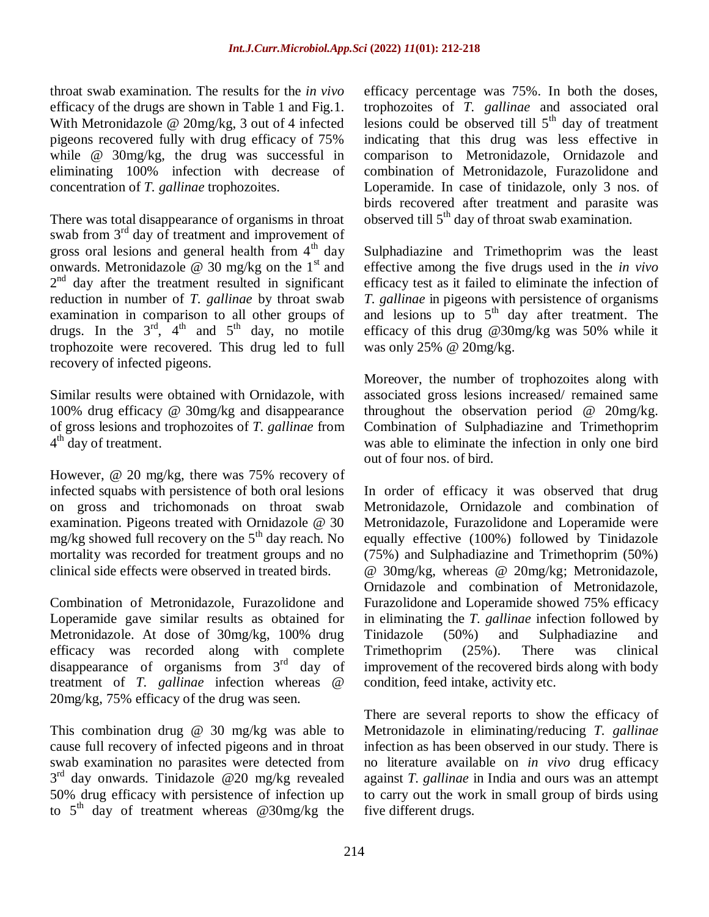throat swab examination. The results for the *in vivo*  efficacy of the drugs are shown in Table 1 and Fig.1. With Metronidazole @ 20mg/kg, 3 out of 4 infected pigeons recovered fully with drug efficacy of 75% while @ 30mg/kg, the drug was successful in eliminating 100% infection with decrease of concentration of *T. gallinae* trophozoites.

There was total disappearance of organisms in throat swab from  $3<sup>rd</sup>$  day of treatment and improvement of gross oral lesions and general health from  $4<sup>th</sup>$  day onwards. Metronidazole  $\omega$  30 mg/kg on the 1<sup>st</sup> and 2<sup>nd</sup> day after the treatment resulted in significant reduction in number of *T. gallinae* by throat swab examination in comparison to all other groups of drugs. In the  $3<sup>rd</sup>$ ,  $4<sup>th</sup>$  and  $5<sup>th</sup>$  day, no motile trophozoite were recovered. This drug led to full recovery of infected pigeons.

Similar results were obtained with Ornidazole, with 100% drug efficacy @ 30mg/kg and disappearance of gross lesions and trophozoites of *T. gallinae* from 4<sup>th</sup> day of treatment.

However, @ 20 mg/kg, there was 75% recovery of infected squabs with persistence of both oral lesions on gross and trichomonads on throat swab examination. Pigeons treated with Ornidazole @ 30 mg/kg showed full recovery on the  $5<sup>th</sup>$  day reach. No mortality was recorded for treatment groups and no clinical side effects were observed in treated birds.

Combination of Metronidazole, Furazolidone and Loperamide gave similar results as obtained for Metronidazole. At dose of 30mg/kg, 100% drug efficacy was recorded along with complete disappearance of organisms from  $3<sup>rd</sup>$  day of treatment of *T. gallinae* infection whereas @ 20mg/kg, 75% efficacy of the drug was seen.

This combination drug @ 30 mg/kg was able to cause full recovery of infected pigeons and in throat swab examination no parasites were detected from 3<sup>rd</sup> day onwards. Tinidazole @20 mg/kg revealed 50% drug efficacy with persistence of infection up to  $5<sup>th</sup>$  day of treatment whereas @30mg/kg the

efficacy percentage was 75%. In both the doses, trophozoites of *T. gallinae* and associated oral lesions could be observed till  $5<sup>th</sup>$  day of treatment indicating that this drug was less effective in comparison to Metronidazole, Ornidazole and combination of Metronidazole, Furazolidone and Loperamide. In case of tinidazole, only 3 nos. of birds recovered after treatment and parasite was observed till  $5<sup>th</sup>$  day of throat swab examination.

Sulphadiazine and Trimethoprim was the least effective among the five drugs used in the *in vivo*  efficacy test as it failed to eliminate the infection of *T. gallinae* in pigeons with persistence of organisms and lesions up to  $5<sup>th</sup>$  day after treatment. The efficacy of this drug @30mg/kg was 50% while it was only 25% @ 20mg/kg.

Moreover, the number of trophozoites along with associated gross lesions increased/ remained same throughout the observation period @ 20mg/kg. Combination of Sulphadiazine and Trimethoprim was able to eliminate the infection in only one bird out of four nos. of bird.

In order of efficacy it was observed that drug Metronidazole, Ornidazole and combination of Metronidazole, Furazolidone and Loperamide were equally effective (100%) followed by Tinidazole (75%) and Sulphadiazine and Trimethoprim (50%) @ 30mg/kg, whereas @ 20mg/kg; Metronidazole, Ornidazole and combination of Metronidazole, Furazolidone and Loperamide showed 75% efficacy in eliminating the *T. gallinae* infection followed by Tinidazole (50%) and Sulphadiazine and Trimethoprim (25%). There was clinical improvement of the recovered birds along with body condition, feed intake, activity etc.

There are several reports to show the efficacy of Metronidazole in eliminating/reducing *T. gallinae* infection as has been observed in our study. There is no literature available on *in vivo* drug efficacy against *T. gallinae* in India and ours was an attempt to carry out the work in small group of birds using five different drugs.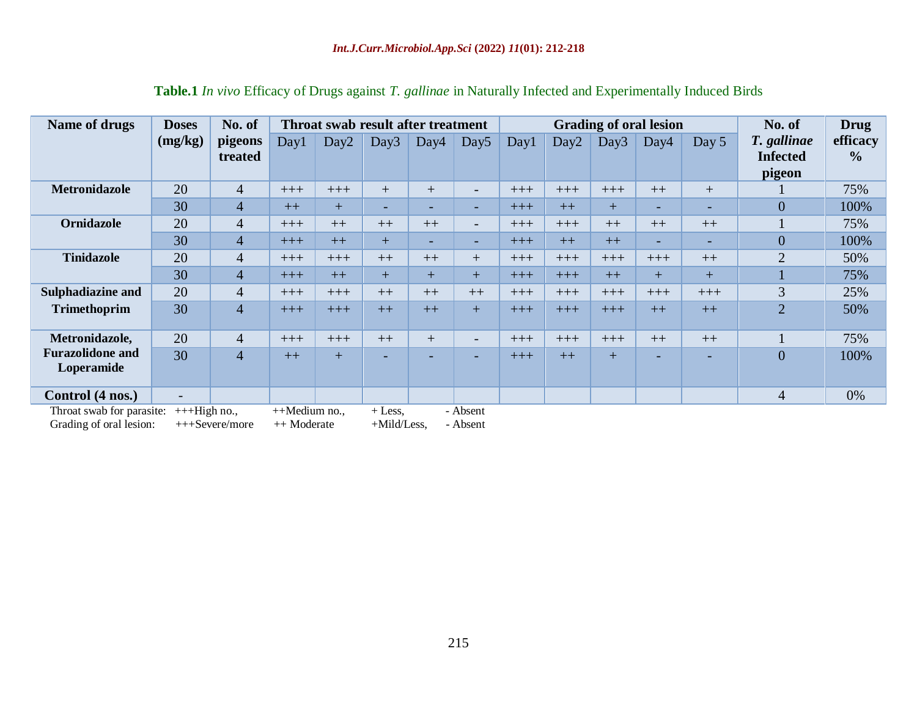| Name of drugs                             | <b>Doses</b>             | No. of             | Throat swab result after treatment |       |                          |                          |                          | <b>Grading of oral lesion</b> |                  |       |       |          | No. of                                   | <b>Drug</b>               |
|-------------------------------------------|--------------------------|--------------------|------------------------------------|-------|--------------------------|--------------------------|--------------------------|-------------------------------|------------------|-------|-------|----------|------------------------------------------|---------------------------|
|                                           | (mg/kg)                  | pigeons<br>treated | Day1                               | Day2  | Day3                     | Day4                     | Day <sub>5</sub>         | Day1                          | Day <sub>2</sub> | Day3  | Day4  | Day 5    | T. gallinae<br><b>Infected</b><br>pigeon | efficacy<br>$\frac{0}{0}$ |
| <b>Metronidazole</b>                      | 20                       | $\overline{4}$     | $+++$                              | $+++$ | $+$                      | $+$                      | $\overline{\phantom{0}}$ | $+++$                         | $+++$            | $+++$ | $++$  | $+$      |                                          | 75%                       |
|                                           | 30                       | $\overline{4}$     | $++$                               | $+$   | ۰                        | $\overline{\phantom{0}}$ | -                        | $+++$                         | $++$             | $+$   | -     | ۰        | $\overline{0}$                           | 100%                      |
| <b>Ornidazole</b>                         | 20                       | $\overline{4}$     | $+++$                              | $++$  | $++$                     | $++$                     | $\overline{\phantom{0}}$ | $+++$                         | $+++$            | $++$  | $++$  | $++$     |                                          | 75%                       |
|                                           | 30                       | $\overline{4}$     | $+++$                              | $++$  | $+$                      | $\overline{\phantom{0}}$ | $\sim$                   | $+++$                         | $++$             | $++$  | -     | <u>—</u> | $\overline{0}$                           | 100%                      |
| <b>Tinidazole</b>                         | 20                       | $\overline{4}$     | $+++$                              | $+++$ | $++$                     | $++$                     | $^{+}$                   | $+++$                         | $+++$            | $+++$ | $+++$ | $++$     | $\overline{2}$                           | 50%                       |
|                                           | 30                       | $\overline{4}$     | $+++$                              | $++$  | $+$                      | $+$                      | $+$                      | $+++$                         | $+++$            | $++$  | $+$   | $+$      |                                          | 75%                       |
| <b>Sulphadiazine and</b>                  | 20                       | $\overline{4}$     | $+++$                              | $+++$ | $++$                     | $++$                     | $++$                     | $+++$                         | $+++$            | $+++$ | $+++$ | $+++$    | 3                                        | 25%                       |
| <b>Trimethoprim</b>                       | 30                       | $\overline{4}$     | $+++$                              | $+++$ | $++$                     | $++$                     | $+$                      | $+++$                         | $+++$            | $+++$ | $++$  | $++$     | $\overline{2}$                           | 50%                       |
| Metronidazole,                            | 20                       | $\overline{4}$     | $+++$                              | $+++$ | $++$                     | $+$                      | $\overline{\phantom{0}}$ | $+++$                         | $+++$            | $+++$ | $++$  | $++$     |                                          | 75%                       |
| <b>Furazolidone and</b><br>Loperamide     | 30                       | $\overline{4}$     | $++$                               | $+$   | $\overline{\phantom{0}}$ | $\overline{\phantom{0}}$ | ٠                        | $+++$                         | $++$             | $+$   |       |          | $\overline{0}$                           | 100%                      |
| Control (4 nos.)                          | $\overline{\phantom{0}}$ |                    |                                    |       |                          |                          |                          |                               |                  |       |       |          | 4                                        | 0%                        |
| Throat swab for parasite: $+++$ High no., |                          |                    | $++$ Medium no.,                   |       | $+$ Less,                |                          | - Absent                 |                               |                  |       |       |          |                                          |                           |

**Table.1** *In vivo* Efficacy of Drugs against *T. gallinae* in Naturally Infected and Experimentally Induced Birds

Grading of oral lesion:  $+++Severe/more$  ++ Moderate +Mild/Less, - Absent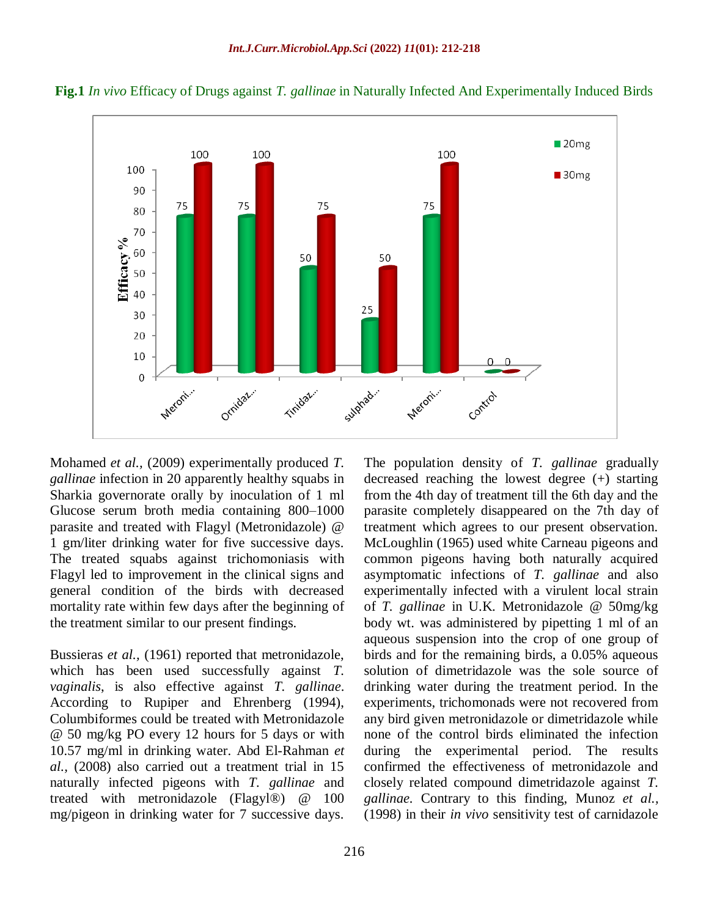



Mohamed *et al.,* (2009) experimentally produced *T. gallinae* infection in 20 apparently healthy squabs in Sharkia governorate orally by inoculation of 1 ml Glucose serum broth media containing 800–1000 parasite and treated with Flagyl (Metronidazole) @ 1 gm/liter drinking water for five successive days. The treated squabs against trichomoniasis with Flagyl led to improvement in the clinical signs and general condition of the birds with decreased mortality rate within few days after the beginning of the treatment similar to our present findings.

Bussieras *et al.,* (1961) reported that metronidazole, which has been used successfully against *T*. *vaginalis*, is also effective against *T. gallinae*. According to Rupiper and Ehrenberg (1994), Columbiformes could be treated with Metronidazole @ 50 mg/kg PO every 12 hours for 5 days or with 10.57 mg/ml in drinking water. Abd El-Rahman *et al.,* (2008) also carried out a treatment trial in 15 naturally infected pigeons with *T. gallinae* and treated with metronidazole (Flagyl®) @ 100 mg/pigeon in drinking water for 7 successive days.

The population density of *T. gallinae* gradually decreased reaching the lowest degree (+) starting from the 4th day of treatment till the 6th day and the parasite completely disappeared on the 7th day of treatment which agrees to our present observation. McLoughlin (1965) used white Carneau pigeons and common pigeons having both naturally acquired asymptomatic infections of *T. gallinae* and also experimentally infected with a virulent local strain of *T. gallinae* in U.K. Metronidazole @ 50mg/kg body wt. was administered by pipetting 1 ml of an aqueous suspension into the crop of one group of birds and for the remaining birds, a 0.05% aqueous solution of dimetridazole was the sole source of drinking water during the treatment period. In the experiments, trichomonads were not recovered from any bird given metronidazole or dimetridazole while none of the control birds eliminated the infection during the experimental period. The results confirmed the effectiveness of metronidazole and closely related compound dimetridazole against *T. gallinae.* Contrary to this finding, Munoz *et al.,* (1998) in their *in vivo* sensitivity test of carnidazole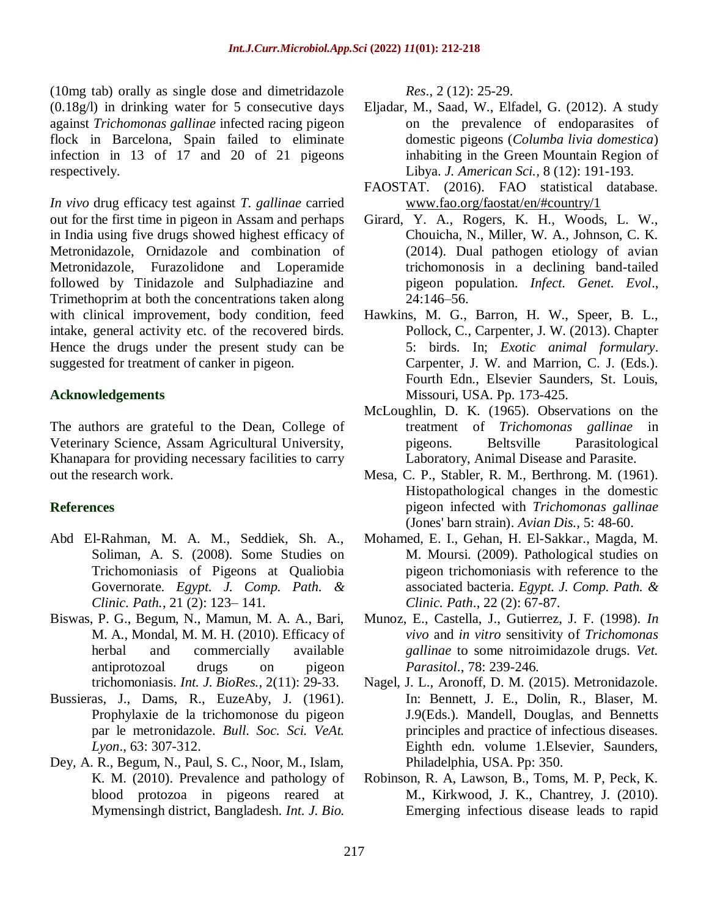(10mg tab) orally as single dose and dimetridazole (0.18g/l) in drinking water for 5 consecutive days against *Trichomonas gallinae* infected racing pigeon flock in Barcelona, Spain failed to eliminate infection in 13 of 17 and 20 of 21 pigeons respectively.

*In vivo* drug efficacy test against *T. gallinae* carried out for the first time in pigeon in Assam and perhaps in India using five drugs showed highest efficacy of Metronidazole, Ornidazole and combination of Metronidazole, Furazolidone and Loperamide followed by Tinidazole and Sulphadiazine and Trimethoprim at both the concentrations taken along with clinical improvement, body condition, feed intake, general activity etc. of the recovered birds. Hence the drugs under the present study can be suggested for treatment of canker in pigeon.

## **Acknowledgements**

The authors are grateful to the Dean, College of Veterinary Science, Assam Agricultural University, Khanapara for providing necessary facilities to carry out the research work.

## **References**

- Abd El-Rahman, M. A. M., Seddiek, Sh. A., Soliman, A. S. (2008). Some Studies on Trichomoniasis of Pigeons at Qualiobia Governorate. *Egypt. J. Comp. Path. & Clinic. Path.*, 21 (2): 123– 141.
- Biswas, P. G., Begum, N., Mamun, M. A. A., Bari, M. A., Mondal, M. M. H. (2010). Efficacy of herbal and commercially available antiprotozoal drugs on pigeon trichomoniasis. *Int. J. BioRes.,* 2(11): 29-33.
- Bussieras, J., Dams, R., EuzeAby, J. (1961). Prophylaxie de la trichomonose du pigeon par le metronidazole. *Bull. Soc. Sci. VeAt. Lyon*., 63: 307-312.
- Dey, A. R., Begum, N., Paul, S. C., Noor, M., Islam, K. M. (2010). Prevalence and pathology of blood protozoa in pigeons reared at Mymensingh district, Bangladesh. *Int. J. Bio.*

*Res*., 2 (12): 25-29.

- Eljadar, M., Saad, W., Elfadel, G. (2012). A study on the prevalence of endoparasites of domestic pigeons (*Columba livia domestica*) inhabiting in the Green Mountain Region of Libya. *J. American Sci.,* 8 (12): 191-193.
- FAOSTAT. (2016). FAO statistical database. [www.fao.org/faostat/en/#country/1](http://www.fao.org/faostat/en/#country/1)
- Girard, Y. A., Rogers, K. H., Woods, L. W., Chouicha, N., Miller, W. A., Johnson, C. K. (2014). Dual pathogen etiology of avian trichomonosis in a declining band-tailed pigeon population. *Infect. Genet. Evol*., 24:146–56.
- Hawkins, M. G., Barron, H. W., Speer, B. L., Pollock, C., Carpenter, J. W. (2013). Chapter 5: birds. In; *Exotic animal formulary*. Carpenter, J. W. and Marrion, C. J. (Eds.). Fourth Edn., Elsevier Saunders, St. Louis, Missouri, USA. Pp. 173-425.
- McLoughlin, D. K. (1965). Observations on the treatment of *Trichomonas gallinae* in pigeons. Beltsville Parasitological Laboratory, Animal Disease and Parasite.
- Mesa, C. P., Stabler, R. M., Berthrong. M. (1961). Histopathological changes in the domestic pigeon infected with *Trichomonas gallinae*  (Jones' barn strain). *Avian Dis.,* 5: 48-60.
- Mohamed, E. I., Gehan, H. El-Sakkar., Magda, M. M. Moursi. (2009). Pathological studies on pigeon trichomoniasis with reference to the associated bacteria. *Egypt. J. Comp. Path. & Clinic. Path*., 22 (2): 67-87.
- Munoz, E., Castella, J., Gutierrez, J. F. (1998). *In vivo* and *in vitro* sensitivity of *Trichomonas gallinae* to some nitroimidazole drugs. *Vet. Parasitol*., 78: 239-246.
- Nagel, J. L., Aronoff, D. M. (2015). Metronidazole. In: Bennett, J. E., Dolin, R., Blaser, M. J.9(Eds.). Mandell, Douglas, and Bennetts principles and practice of infectious diseases. Eighth edn. volume 1.Elsevier, Saunders, Philadelphia, USA. Pp: 350.
- Robinson, R. A, Lawson, B., Toms, M. P, Peck, K. M., Kirkwood, J. K., Chantrey, J. (2010). Emerging infectious disease leads to rapid